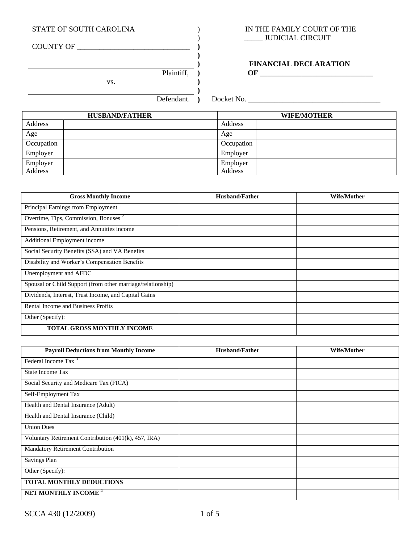COUNTY OF \_\_\_\_\_\_\_\_\_\_\_\_\_\_\_\_\_\_\_\_\_\_\_\_\_\_\_\_\_\_ **)**

vs. **)**

## STATE OF SOUTH CAROLINA  $\qquad$ ) IN THE FAMILY COURT OF THE ) \_\_\_\_\_ JUDICIAL CIRCUIT

# **) FINANCIAL DECLARATION** Plaintiff, **) OF \_\_\_\_\_\_\_\_\_\_\_\_\_\_\_\_\_\_\_\_\_\_\_\_\_\_\_\_\_\_**

**)**

**)** 

| No.<br>Jocket<br>________________ |
|-----------------------------------|
|                                   |

|            | <b>HUSBAND/FATHER</b> |            | <b>WIFE/MOTHER</b> |
|------------|-----------------------|------------|--------------------|
| Address    |                       | Address    |                    |
| Age        |                       | Age        |                    |
| Occupation |                       | Occupation |                    |
| Employer   |                       | Employer   |                    |
| Employer   |                       | Employer   |                    |
| Address    |                       | Address    |                    |

| <b>Gross Monthly Income</b>                                 | <b>Husband/Father</b> | Wife/Mother |
|-------------------------------------------------------------|-----------------------|-------------|
| Principal Earnings from Employment <sup>1</sup>             |                       |             |
| Overtime, Tips, Commission, Bonuses <sup>2</sup>            |                       |             |
| Pensions, Retirement, and Annuities income                  |                       |             |
| <b>Additional Employment income</b>                         |                       |             |
| Social Security Benefits (SSA) and VA Benefits              |                       |             |
| Disability and Worker's Compensation Benefits               |                       |             |
| Unemployment and AFDC                                       |                       |             |
| Spousal or Child Support (from other marriage/relationship) |                       |             |
| Dividends, Interest, Trust Income, and Capital Gains        |                       |             |
| Rental Income and Business Profits                          |                       |             |
| Other (Specify):                                            |                       |             |
| <b>TOTAL GROSS MONTHLY INCOME</b>                           |                       |             |

| <b>Payroll Deductions from Monthly Income</b>        | <b>Husband/Father</b> | <b>Wife/Mother</b> |
|------------------------------------------------------|-----------------------|--------------------|
| Federal Income Tax <sup>3</sup>                      |                       |                    |
| State Income Tax                                     |                       |                    |
| Social Security and Medicare Tax (FICA)              |                       |                    |
| Self-Employment Tax                                  |                       |                    |
| Health and Dental Insurance (Adult)                  |                       |                    |
| Health and Dental Insurance (Child)                  |                       |                    |
| <b>Union Dues</b>                                    |                       |                    |
| Voluntary Retirement Contribution (401(k), 457, IRA) |                       |                    |
| Mandatory Retirement Contribution                    |                       |                    |
| Savings Plan                                         |                       |                    |
| Other (Specify):                                     |                       |                    |
| <b>TOTAL MONTHLY DEDUCTIONS</b>                      |                       |                    |
| NET MONTHLY INCOME <sup>4</sup>                      |                       |                    |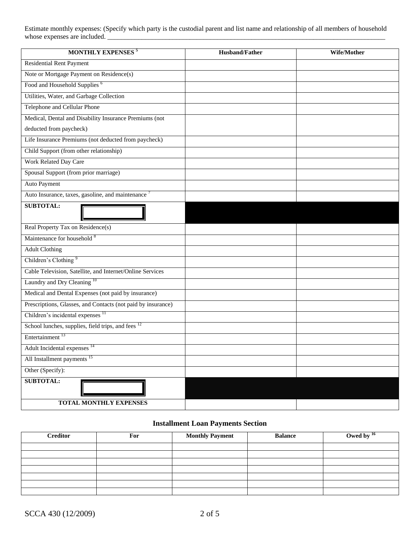Estimate monthly expenses: (Specify which party is the custodial parent and list name and relationship of all members of household whose expenses are included.

| <b>MONTHLY EXPENSES<sup>5</sup></b>                           | <b>Husband/Father</b> | Wife/Mother |
|---------------------------------------------------------------|-----------------------|-------------|
| <b>Residential Rent Payment</b>                               |                       |             |
| Note or Mortgage Payment on Residence(s)                      |                       |             |
| Food and Household Supplies <sup>6</sup>                      |                       |             |
| Utilities, Water, and Garbage Collection                      |                       |             |
| Telephone and Cellular Phone                                  |                       |             |
| Medical, Dental and Disability Insurance Premiums (not        |                       |             |
| deducted from paycheck)                                       |                       |             |
| Life Insurance Premiums (not deducted from paycheck)          |                       |             |
| Child Support (from other relationship)                       |                       |             |
| Work Related Day Care                                         |                       |             |
| Spousal Support (from prior marriage)                         |                       |             |
| Auto Payment                                                  |                       |             |
| Auto Insurance, taxes, gasoline, and maintenance $7$          |                       |             |
| <b>SUBTOTAL:</b>                                              |                       |             |
| Real Property Tax on Residence(s)                             |                       |             |
| Maintenance for household <sup>8</sup>                        |                       |             |
| <b>Adult Clothing</b>                                         |                       |             |
| Children's Clothing <sup>9</sup>                              |                       |             |
| Cable Television, Satellite, and Internet/Online Services     |                       |             |
| Laundry and Dry Cleaning <sup>10</sup>                        |                       |             |
| Medical and Dental Expenses (not paid by insurance)           |                       |             |
| Prescriptions, Glasses, and Contacts (not paid by insurance)  |                       |             |
| Children's incidental expenses <sup>11</sup>                  |                       |             |
| School lunches, supplies, field trips, and fees <sup>12</sup> |                       |             |
| Entertainment <sup>13</sup>                                   |                       |             |
| Adult Incidental expenses <sup>14</sup>                       |                       |             |
| All Installment payments <sup>15</sup>                        |                       |             |
| Other (Specify):                                              |                       |             |
| <b>SUBTOTAL:</b>                                              |                       |             |
| TOTAL MONTHLY EXPENSES                                        |                       |             |

# **Installment Loan Payments Section**

| <b>Creditor</b> | For | <b>Monthly Payment</b> | <b>Balance</b> | Owed by $16$ |
|-----------------|-----|------------------------|----------------|--------------|
|                 |     |                        |                |              |
|                 |     |                        |                |              |
|                 |     |                        |                |              |
|                 |     |                        |                |              |
|                 |     |                        |                |              |
|                 |     |                        |                |              |
|                 |     |                        |                |              |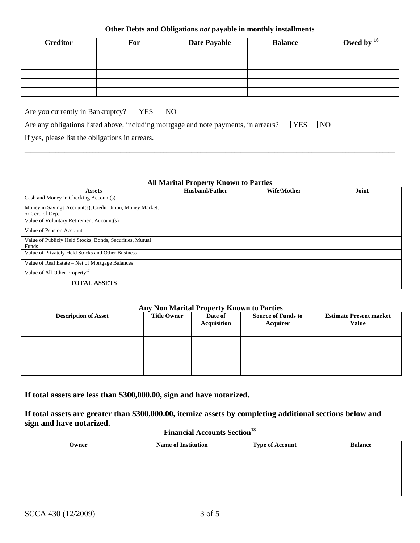#### **Other Debts and Obligations** *not* **payable in monthly installments**

| <b>Creditor</b> | For | <b>Date Payable</b> | <b>Balance</b> | Owed by $^{16}$ |
|-----------------|-----|---------------------|----------------|-----------------|
|                 |     |                     |                |                 |
|                 |     |                     |                |                 |
|                 |     |                     |                |                 |
|                 |     |                     |                |                 |
|                 |     |                     |                |                 |

Are you currently in Bankruptcy?  $\Box$  YES  $\Box$  NO

| Are any obligations listed above, including mortgage and note payments, in arrears? $\Box$ YES $\Box$ NO |  |  |  |  |
|----------------------------------------------------------------------------------------------------------|--|--|--|--|
|----------------------------------------------------------------------------------------------------------|--|--|--|--|

If yes, please list the obligations in arrears.

#### **All Marital Property Known to Parties**

 $\Box$  . The contribution of the contribution of the contribution of the contribution of the contribution of the contribution of the contribution of the contribution of the contribution of the contribution of the contributi  $\Box$  . The contribution of the contribution of the contribution of the contribution of the contribution of the contribution of the contribution of the contribution of the contribution of the contribution of the contributi

| <b>Assets</b>                                            | <b>Husband/Father</b> | Wife/Mother | Joint |
|----------------------------------------------------------|-----------------------|-------------|-------|
| Cash and Money in Checking Account(s)                    |                       |             |       |
| Money in Savings Account(s), Credit Union, Money Market, |                       |             |       |
| or Cert. of Dep.                                         |                       |             |       |
| Value of Voluntary Retirement Account(s)                 |                       |             |       |
| Value of Pension Account                                 |                       |             |       |
| Value of Publicly Held Stocks, Bonds, Securities, Mutual |                       |             |       |
| Funds                                                    |                       |             |       |
| Value of Privately Held Stocks and Other Business        |                       |             |       |
| Value of Real Estate – Net of Mortgage Balances          |                       |             |       |
| Value of All Other Property <sup>17</sup>                |                       |             |       |
| <b>TOTAL ASSETS</b>                                      |                       |             |       |

## **Any Non Marital Property Known to Parties**

| <b>Description of Asset</b> | <b>Title Owner</b> | Date of<br><b>Acquisition</b> | <b>Source of Funds to</b><br><b>Acquirer</b> | <b>Estimate Present market</b><br><b>Value</b> |
|-----------------------------|--------------------|-------------------------------|----------------------------------------------|------------------------------------------------|
|                             |                    |                               |                                              |                                                |
|                             |                    |                               |                                              |                                                |
|                             |                    |                               |                                              |                                                |
|                             |                    |                               |                                              |                                                |
|                             |                    |                               |                                              |                                                |

**If total assets are less than \$300,000.00, sign and have notarized.**

**If total assets are greater than \$300,000.00, itemize assets by completing additional sections below and sign and have notarized.**

# **Financial Accounts Section<sup>18</sup>**

| Owner | <b>Name of Institution</b> | <b>Type of Account</b> | <b>Balance</b> |
|-------|----------------------------|------------------------|----------------|
|       |                            |                        |                |
|       |                            |                        |                |
|       |                            |                        |                |
|       |                            |                        |                |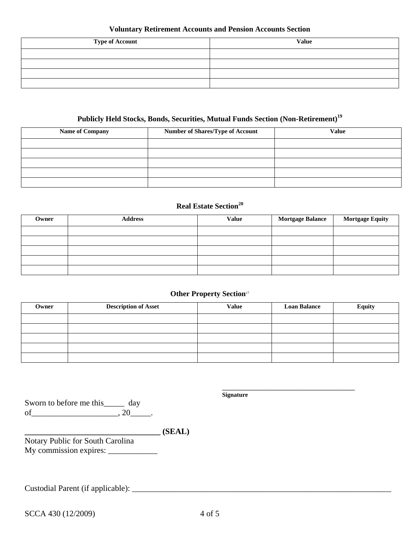## **Voluntary Retirement Accounts and Pension Accounts Section**

| <b>Type of Account</b> | <b>Value</b> |
|------------------------|--------------|
|                        |              |
|                        |              |
|                        |              |
|                        |              |

# **Publicly Held Stocks, Bonds, Securities, Mutual Funds Section (Non-Retirement)<sup>19</sup>**

| <b>Name of Company</b> | <b>Number of Shares/Type of Account</b> | <b>Value</b> |
|------------------------|-----------------------------------------|--------------|
|                        |                                         |              |
|                        |                                         |              |
|                        |                                         |              |
|                        |                                         |              |
|                        |                                         |              |

# **Real Estate Section<sup>20</sup>**

| Owner | <b>Address</b> | <b>Value</b> | <b>Mortgage Balance</b> | <b>Mortgage Equity</b> |
|-------|----------------|--------------|-------------------------|------------------------|
|       |                |              |                         |                        |
|       |                |              |                         |                        |
|       |                |              |                         |                        |
|       |                |              |                         |                        |
|       |                |              |                         |                        |

### **Other Property Section**<sup>17</sup>

| Owner | <b>Description of Asset</b> | <b>Value</b> | <b>Loan Balance</b> | <b>Equity</b> |
|-------|-----------------------------|--------------|---------------------|---------------|
|       |                             |              |                     |               |
|       |                             |              |                     |               |
|       |                             |              |                     |               |
|       |                             |              |                     |               |
|       |                             |              |                     |               |

Sworn to before me this\_\_\_\_\_ day  $of$ \_\_\_\_\_\_\_\_\_\_\_\_\_\_\_\_\_\_\_\_\_\_, 20\_\_\_\_\_\_.

**Signature**

**\_\_\_\_\_\_\_\_\_\_\_\_\_\_\_\_\_\_\_\_\_\_\_\_\_\_\_\_\_\_\_\_\_\_\_\_\_\_\_\_\_\_\_**

**\_\_\_\_\_\_\_\_\_\_\_\_\_\_\_\_\_\_\_\_\_\_\_\_\_\_\_\_\_\_\_\_\_ (SEAL)**

Notary Public for South Carolina My commission expires: \_\_\_\_\_\_\_\_\_\_\_\_

Custodial Parent (if applicable): \_\_\_\_\_\_\_\_\_\_\_\_\_\_\_\_\_\_\_\_\_\_\_\_\_\_\_\_\_\_\_\_\_\_\_\_\_\_\_\_\_\_\_\_\_\_\_\_\_\_\_\_\_\_\_\_\_\_\_\_\_\_\_

SCCA 430 (12/2009) 4 of 5